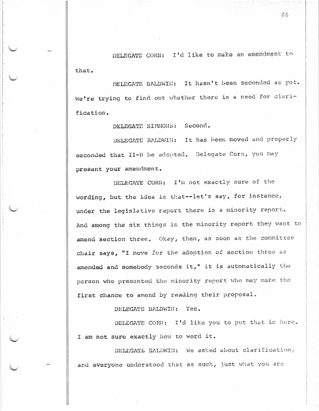DELEGATE CORN: I'd like to make an amendment to that.

DELEGATE BALDWIN: It hasn't been seconded as yet. We're trying to find out whether there is a need for clarification.

DELEGATE SIMMONS: Second.

DELEGATE BALDWIN: It has been moved and properly seconded that II-B be adopted. Delegate Corn, you may present your amendment.

DELEGATE CORN: I'm not exactly sure of the wording, but the idea is that--let's say, for instance, under the legislative report there is a minority report. And among the six things in the minority report they want to amend section three. Okay, then, as soon as the committee chair says, "I move for the adoption of section three as amended and somebody seconds it," it is automatically the person who presented the minority report who may make the first chance to amend by reading their proposal.

DELEGATE BALDWIN: Yes.

DELEGATE CORN: I'd like you to put that in here. I am not sure exactly how to word it.

DELEGATE DALDWIN: We asked about clarification, and everyone understood that as such, just what you are